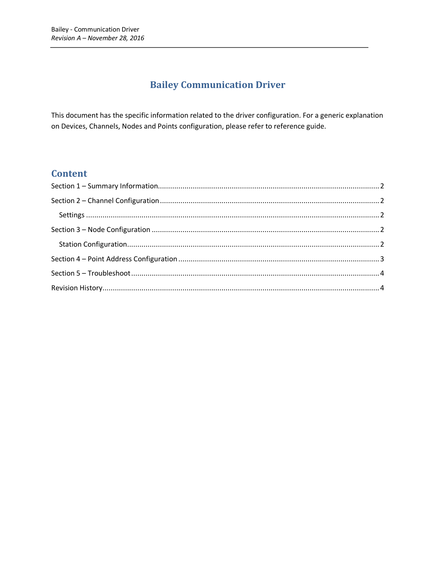# **Bailey Communication Driver**

This document has the specific information related to the driver configuration. For a generic explanation on Devices, Channels, Nodes and Points configuration, please refer to reference guide.

### **Content**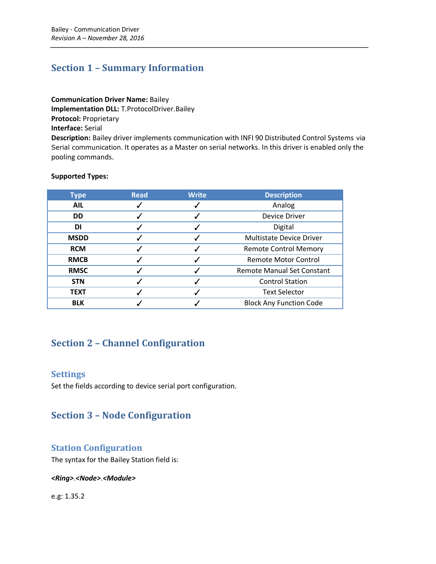## <span id="page-1-0"></span>**Section 1 – Summary Information**

**Communication Driver Name:** Bailey **Implementation DLL:** T.ProtocolDriver.Bailey **Protocol:** Proprietary **Interface:** Serial **Description:** Bailey driver implements communication with INFI 90 Distributed Control Systems via Serial communication. It operates as a Master on serial networks. In this driver is enabled only the

**Supported Types:**

pooling commands.

| <b>Type</b> | <b>Read</b> | <b>Write</b> | <b>Description</b>                |
|-------------|-------------|--------------|-----------------------------------|
| <b>AIL</b>  |             |              | Analog                            |
| <b>DD</b>   |             |              | Device Driver                     |
| DI          |             |              | Digital                           |
| <b>MSDD</b> |             |              | <b>Multistate Device Driver</b>   |
| <b>RCM</b>  |             |              | <b>Remote Control Memory</b>      |
| <b>RMCB</b> |             |              | <b>Remote Motor Control</b>       |
| <b>RMSC</b> |             |              | <b>Remote Manual Set Constant</b> |
| <b>STN</b>  |             |              | <b>Control Station</b>            |
| <b>TEXT</b> |             |              | <b>Text Selector</b>              |
| <b>BLK</b>  |             |              | <b>Block Any Function Code</b>    |

### <span id="page-1-1"></span>**Section 2 – Channel Configuration**

### <span id="page-1-2"></span>**Settings**

Set the fields according to device serial port configuration.

### <span id="page-1-3"></span>**Section 3 – Node Configuration**

### <span id="page-1-4"></span>**Station Configuration**

The syntax for the Bailey Station field is:

#### *<Ring>*.*<Node>*.*<Module>*

e.g: 1.35.2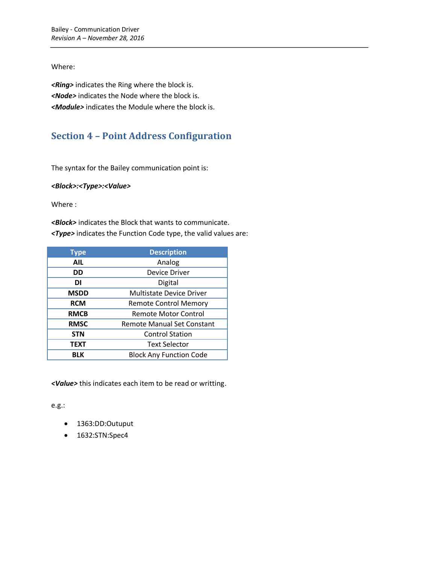#### Where:

*<Ring>* indicates the Ring where the block is. *<Node>* indicates the Node where the block is. *<Module>* indicates the Module where the block is.

# <span id="page-2-0"></span>**Section 4 – Point Address Configuration**

The syntax for the Bailey communication point is:

*<Block>:<Type>:<Value>*

Where :

*<Block>* indicates the Block that wants to communicate. *<Type>* indicates the Function Code type, the valid values are:

| <b>Type</b> | <b>Description</b>                |  |  |
|-------------|-----------------------------------|--|--|
| <b>AIL</b>  | Analog                            |  |  |
| DD          | <b>Device Driver</b>              |  |  |
| DI          | Digital                           |  |  |
| <b>MSDD</b> | <b>Multistate Device Driver</b>   |  |  |
| <b>RCM</b>  | <b>Remote Control Memory</b>      |  |  |
| <b>RMCB</b> | <b>Remote Motor Control</b>       |  |  |
| <b>RMSC</b> | <b>Remote Manual Set Constant</b> |  |  |
| <b>STN</b>  | <b>Control Station</b>            |  |  |
| <b>TEXT</b> | <b>Text Selector</b>              |  |  |
| <b>BLK</b>  | <b>Block Any Function Code</b>    |  |  |

*<Value>* this indicates each item to be read or writting.

e.g.:

- 1363:DD:Outuput
- 1632:STN:Spec4